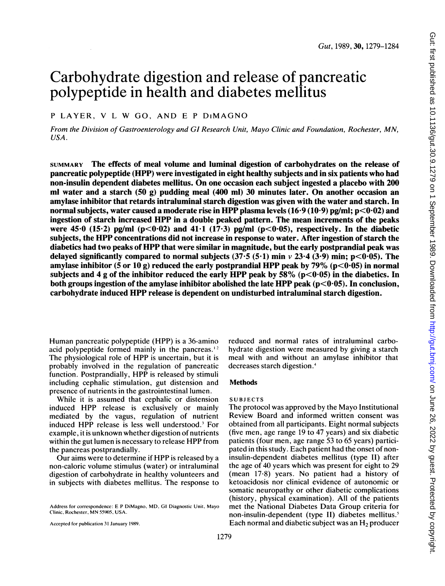# Carbohydrate digestion and release of pancreatic polypeptide in health and diabetes mellitus

## <sup>P</sup> LAYER, V <sup>L</sup> W GO, AND <sup>E</sup> <sup>P</sup> DiMAGNO

From the Division of Gastroenterology and GI Research Unit, Mayo Clinic and Foundation, Rochester, MN, USA.

SUMMARY The effects of meal volume and luminal digestion of carbohydrates on the release of pancreatic polypeptide (HPP) were investigated in eight healthy subjects and in six patients who had non-insulin dependent diabetes mellitus. On one occasion each subject ingested a placebo with 200 ml water and a starch  $(50 \text{ g})$  pudding meal  $(400 \text{ ml})$  30 minutes later. On another occasion an amylase inhibitor that retards intraluminal starch digestion was given with the water and starch. In normal subjects, water caused a moderate rise in HPP plasma levels  $(16.9 (10.9)$  pg/ml;  $p<0.02$ ) and ingestion of starch increased HPP in a double peaked pattern. The mean increments of the peaks were 45.0 (15.2) pg/ml ( $p<0.02$ ) and 41.1 (17.3) pg/ml ( $p<0.05$ ), respectively. In the diabetic subjects, the HPP concentrations did not increase in response to water. After ingestion of starch the diabetics had two peaks of HPP that were similar in magnitude, but the early postprandial peak was delayed significantly compared to normal subjects  $(37.5 (5.1)$  min  $\nu$  23.4  $(3.9)$  min; p<0.05). The amylase inhibitor (5 or 10 g) reduced the early postprandial HPP peak by 79% ( $p < 0.05$ ) in normal subjects and 4 g of the inhibitor reduced the early HPP peak by  $58\%$  (p $< 0.05$ ) in the diabetics. In both groups ingestion of the amylase inhibitor abolished the late HPP peak ( $p<0.05$ ). In conclusion, carbohydrate induced HPP release is dependent on undisturbed intraluminal starch digestion.

Human pancreatic polypeptide (HPP) is <sup>a</sup> 36-amino acid polypeptide formed mainly in the pancreas. $12$ The physiological role of HPP is uncertain, but it is probably involved in the regulation of pancreatic function. Postprandially, HPP is released by stimuli including cephalic stimulation, gut distension and presence of nutrients in the gastrointestinal lumen.

While it is assumed that cephalic or distension induced HPP release is exclusively or mainly mediated by the vagus, regulation of nutrient induced HPP release is less well understood.<sup>3</sup> For example, it is unknown whether digestion of nutrients within the gut lumen is necessary to release HPP from the pancreas postprandially.

Our aims were to determine if HPP is released by <sup>a</sup> non-caloric volume stimulus (water) or intraluminal digestion of carbohydrate in healthy volunteers and in subjects with diabetes mellitus. The response to

Accepted for publication 31 January 1989.

patients (four men, age range 53 to 65 years) participated in this study. Each patient had the onset of non-

decreases starch digestion.4

Methods

SUBJECTS

insulin-dependent diabetes mellitus (type II) after the age of 40 years which was present for eight to 29 (mean 17.8) years. No patient had <sup>a</sup> history of ketoacidosis nor clinical evidence of autonomic or somatic neuropathy or other diabetic complications (history, physical examination). All of the patients met the National Diabetes Data Group criteria for non-insulin-dependent (type II) diabetes mellitus.5 Each normal and diabetic subject was an  $H<sub>2</sub>$  producer

reduced and normal rates of intraluminal carbohydrate digestion were measured by giving a starch meal with and without an amylase inhibitor that

The protocol was approved by the Mayo Institutional Review Board and informed written consent was obtained from all participants. Eight normal subjects (five men, age range 19 to 47 years) and six diabetic

Address for correspondence: E P DiMagno. MD, GI Diagnostic Unit, Mayo Clinic, Rochester, MN 55905, USA.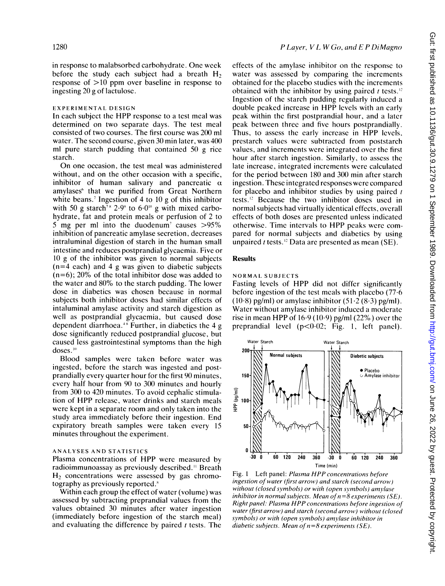in response to malabsorbed carbohydrate. One week before the study each subject had a breath  $H<sub>2</sub>$ response of >10 ppm over baseline in response to ingesting 20 g of lactulose.

#### EXPERIMENTAL DESIGN

In each subject the HPP response to <sup>a</sup> test meal was determined on two separate days. The test meal consisted of two courses. The first course was 200 ml water. The second course, given 30 min later, was 400 ml pure starch pudding that contained 50 g rice starch.

On one occasion, the test meal was administered without, and on the other occasion with a specific, inhibitor of human salivary and pancreatic  $\alpha$ amylases' that we purified from Great Northern white beans.' Ingestion of 4 to 10 g of this inhibitor with 50 g starch<sup>78</sup> 2.9<sup>9</sup> to 6.0<sup>10</sup> g with mixed carbohydrate, fat and protein meals or perfusion of 2 to 5 mg per ml into the duodenum<sup>7</sup> causes  $>95\%$ inhibition of pancreatic amylase secretion, decreases intraluminal digestion of starch in the human small intestine and reduces postprandial glycaemia. Five or 10 g of the inhibitor was given to normal subjects  $(n=4 \text{ each})$  and 4 g was given to diabetic subjects  $(n=6)$ ; 20% of the total inhibitor dose was added to the water and 80% to the starch pudding. The lower dose in diabetics was chosen because in normal subjects both inhibitor doses had similar effects of intaluminal amylase activity and starch digestion as well as postprandial glycaemia, but caused dose dependent diarrhoea. $48$  Further, in diabetics the 4 g dose significantly reduced postprandial glucose, but caused less gastrointestinal symptoms than the high doses. $10$ 

Blood samples were taken before water was ingested, before the starch was ingested and postprandially every quarter hour for the first 90 minutes, every half hour from 90 to 300 minutes and hourly from 300 to 420 minutes. To avoid cephalic stimulation of HPP release, water drinks and starch meals were kept in a separate room and only taken into the study area immediately before their ingestion. End expiratory breath samples were taken every 15 minutes throughout the experiment.

## ANALYSES AND STATISTICS

Plasma concentrations of HPP were measured by radioimmunoassay as previously described.<sup>11</sup> Breath  $H<sub>2</sub>$  concentrations were assessed by gas chromotography as previously reported.<sup>8</sup>

Within each group the effect of water (volume) was assessed by subtracting preprandial values from the values obtained 30 minutes after water ingestion (immediately before ingestion of the starch meal) and evaluating the difference by paired  $t$  tests. The

effects of the amylase inhibitor on the response to water was assessed by comparing the increments obtained for the placebo studies with the increments obtained with the inhibitor by using paired t tests.<sup>12</sup> Ingestion of the starch pudding regularly induced a double peaked increase in HPP levels with an early peak within the first postprandial hour, and a later peak between three and five hours postprandially. Thus, to assess the early increase in HPP levels, prestarch values were subtracted from poststarch values, and increments were integrated over the first hour after starch ingestion. Similarly, to assess the late increase, integrated increments were calculated for the period between 180 and 300 min after starch ingestion. These integrated responses were compared for placebo and inhibitor studies by using paired  $t$ tests.<sup>12</sup> Because the two inhibitor doses used in normal subjects had virtually identical effects, overall effects of both doses are presented unless indicated otherwise. Time intervals to HPP peaks were compared for normal subjects and diabetics by using unpaired t tests.<sup>12</sup> Data are presented as mean (SE).

## **Results**

#### NORMAL SUBJECTS

Fasting levels of HPP did not differ significantly before ingestion of the test meals with placebo (77-6  $(10-8)$  pg/ml) or amylase inhibitor  $(51-2 (8-3)$  pg/ml). Water without amylase inhibitor induced a moderate rise in mean HPP of  $16.9(10.9)$  pg/ml  $(22%)$  over the preprandial level (p<0-02; Fig. 1, left panel).



Fig. <sup>1</sup> Left panel: Plasma HPP concentrations before ingestion of water (first arrow) and starch (second arrow) without (closed symbols) or with (open symbols) amylase inhibitor in normal subjects. Mean of  $n = 8$  experiments (SE). Right panel: Plasma HPP concentrations before ingestion of water (first arrow) and starch (second arrow) without (closed symbols) or with (open symbols) amvlase inhibitor in diabetic subjects. Mean of  $n=8$  experiments (SE).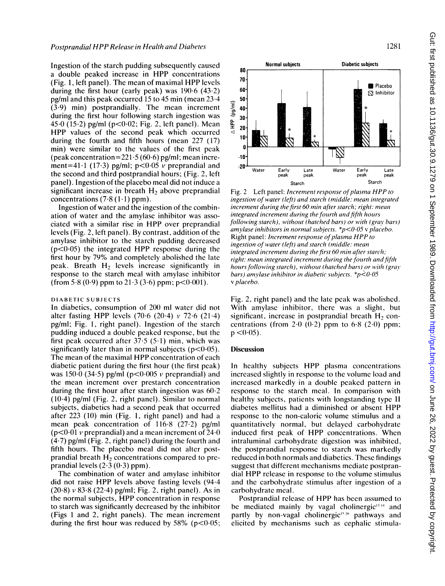Ingestion of the starch pudding subsequently caused <sup>a</sup> double peaked increase in HPP concentrations (Fig. 1, left panel). The mean of maximal HPP levels during the first hour (early peak) was 190-6 (43.2) pg/ml and this peak occurred 15 to 45 min (mean 23-4 (3.9) min) postprandially. The mean increment during the first hour following starch ingestion was  $45.0$  (15.2) pg/ml (p<0.02; Fig. 2, left panel). Mean HPP values of the second peak which occurred during the fourth and fifth hours (mean 227 (17) min) were similar to the values of the first peak (peak concentration=221.5 (60.6) pg/ml; mean increment=41 $\cdot$ 1 (17 $\cdot$ 3) pg/ml; p<0 $\cdot$ 05 v preprandial and the second and third postprandial hours; (Fig. 2, left panel). Ingestion of the placebo meal did not induce a significant increase in breath  $H_2$  above preprandial concentrations  $(7.8 (1.1)$  ppm).

Ingestion of water and the ingestion of the combination of water and the amylase inhibitor was associated with <sup>a</sup> similar rise in HPP over preprandial levels (Fig. 2, left panel). By contrast, addition of the amylase inhibitor to the starch pudding decreased  $(p<0.05)$  the integrated HPP response during the first hour by 79% and completely abolished the late peak. Breath  $H<sub>2</sub>$  levels increase significantly in response to the starch meal with amylase inhibitor (from  $5.8 (0.9)$  ppm to  $21.3 (3.6)$  ppm; p<0.001).

#### DIABETIC SUBJECTS

In diabetics, consumption of 200 ml water did not alter fasting HPP levels  $(70.6 (20.4) v 72.6 (21.4))$ pg/ml; Fig. 1, right panel). Ingestion of the starch pudding induced a double peaked response, but the first peak occurred after  $37.5$  (5.1) min, which was significantly later than in normal subjects ( $p < 0.05$ ). The mean of the maximal HPP concentration of each diabetic patient during the first hour (the first peak) was 150 $\cdot$ 0 (34 $\cdot$ 5) pg/ml (p<0 $\cdot$ 005  $\nu$  preprandial) and the mean increment over prestarch concentration during the first hour after starch ingestion was 60-2 (10.4) pg/ml (Fig. 2, right panel). Similar to normal subjects. diabetics had a second peak that occurred after <sup>223</sup> (10) min (Fig. 1, right panel) and had <sup>a</sup> mean peak concentration of 116 8 (27.2) pg/ml  $(p<0.01 v$  preprandial) and a mean increment of 24.0  $(4.7)$  pg/ml (Fig. 2, right panel) during the fourth and fifth hours. The placebo meal did not alter postprandial breath  $H_2$  concentrations compared to preprandial levels  $(2.3 (0.3)$  ppm).

The combination of water and amylase inhibitor did not raise HPP levels above fasting levels (94.4  $(20.8)$  v 83.8 (22.4) pg/ml; Fig. 2, right panel). As in the normal subjects, HPP concentration in response to starch was significantly decreased by the inhibitor (Figs <sup>1</sup> and 2, right panels). The mean increment during the first hour was reduced by  $58\%$  ( $p < 0.05$ ;



Fig. 2 Left panel: Increment response of plasma HPP to ingestion of water (left) and starch (middle: mean integrated increment during the first 60 min after starch; right: mean integrated increment during the fourth and fifth hours following starch), without (hatched bars) or with (gray bars) amylase inhibitors in normal subjects.  $*p<0.05$  v placebo. Right panel: Increment response of plasma HPP to ingestion of water (left) and starch (middle: mean integrated increment during the first  $60$  min after starch; right: mean integrated increment during the fourth and fifth hours following starch), without (hatched bars) or with (gray bars) amylase inhibitor in diabetic subjects. \*p $\geq 0.05$ v placebo.

Fig. 2, right panel) and the late peak was abolished. With amylase inhibitor, there was a slight, but significant, increase in postprandial breath  $H_2$  concentrations (from  $2.0$  (0.2) ppm to  $6.8$  (2.0) ppm;  $p < 0.05$ ).

### Discussion

In healthy subjects HPP plasma concentrations increased slightly in response to the volume load and increased markedly in a double peaked pattern in response to the starch meal. In comparison with healthy subjects, patients with longstanding type II diabetes mellitus had <sup>a</sup> diminished or absent HPP response to the non-caloric volume stimulus and a quantitatively normal, but delayed carbohydrate induced first peak of HPP concentrations. When intraluminal carbohydrate digestion was inhibited, the postprandial response to starch was markedly reduced in both normals and diabetics. These findings suggest that different mechanisms mediate postprandial HPP release in response to the volume stimulus and the carbohydrate stimulus after ingestion of a carbohydrate meal.

Postprandial release of HPP has been assumed to be mediated mainly by vagal cholinergic $^{13}$ <sup>14</sup> and partly by non-vagal cholinergic<sup>15 16</sup> pathways and elicited by mechanisms such as cephalic stimula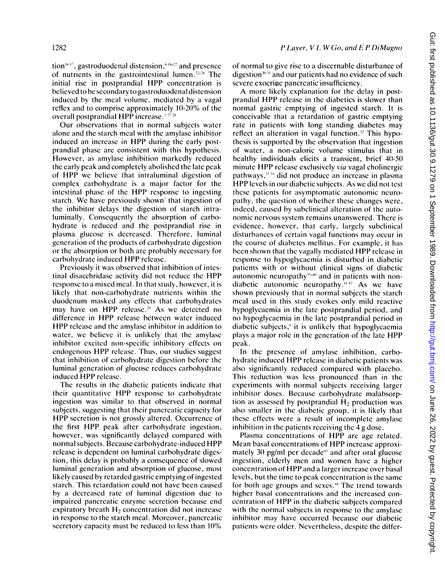tion<sup>16.17</sup>, gastroduodenal distension,<sup>6</sup> 18-22 and presence of nutrients in the gastrointestinal lumen. $22-26$  The initial rise in postprandial HPP concentration is believed to be secondary to gastroduodenal distension induced by the meal volume, mediated by a vagal reflex and to comprise approximately 10-20% of the overall postprandial HPP increase.<sup>32728</sup>

Our observations that in normal subjects water alone and the starch meal with the amylase inhibitor induced an increase in HPP during the early postprandial phase are consistent with this hypothesis. However, as amylase inhibition markedly reduced the early peak and completely abolished the late peak of HPP we believe that intraluminal digestion of complex carbohydrate is a major factor for the intestinal phase of the HPP response to ingesting starch. We have previously shown<sup> $\lambda$ </sup> that ingestion of the inhibitor delays the digestion of starch intraluminally. Consequently the absorption of carbohydrate is reduced and the postprandial rise in plasma glucose is decreased. Therefore, luminal generation of the products of carbohydrate digestion or the absorption or both are probably necessary for carbohydrate induced HPP release.

Previously it was observed that inhibition of intestinal disacchridase activity did not reduce the HPP response to a mixed meal. In that study, however, it is likely that non-carbohydrate nutrients within the duodenum masked any effects that carbohydrates may have on HPP release.<sup>30</sup> As we detected no difference in HPP release between water induced HPP release and the amylase inhibitor in addition to water, we believe it is unlikely that the amylase inhibitor excited non-specific inhibitory effects on endogenous HPP release. Thus, our studies suggest that inhibition of carbohydrate digestion before the luminal generation of glucose reduces carbohydrate induced HPP release.

The results in the diabetic patients indicate that their quantitative HPP response to carbohydrate ingestion was similar to that observed in normal subjects, suggesting that their pancreatic capacity for HPP secretion is not grossly altered. Occurrence of the first HPP peak after carbohydrate ingestion, however, was significantly delayed compared with normal subjects. Because carbohydrate-induced HPP release is dependent on luminal carbohydrate digestion, this delay is probably a consequence of slowed luminal generation and absorption of glucose, most likely caused by retarded gastric emptying of ingested starch. This retardation could not have been caused by <sup>a</sup> decreased rate of luminal digestion due to impaired pancreatic enzyme secretion because end expiratory breath  $H_2$  concentration did not increase in response to the starch meal. Moreover, pancreatic secretory capacity must be reduced to less than 10%

of normal to give rise to a discernable disturbance of digestion<sup>30.31</sup> and our patients had no evidence of such severe exocrine pancreatic insufficiency.

A more likely explanation for the delay in postprandial HPP release in the diabetics is slower than normal gastric emptying of ingested starch. It is conceivable that a retardation of gastric emptying rate in patients with long standing diabetes may reflect an alteration in vagal function." This hypothesis is supported by the observation that ingestion of water, a non-caloric volume stimulus that in healthy individuals elicits a transient, brief 40-50 minute HPP release exclusively via vagal cholinergic pathways,<sup>33,34</sup> did not produce an increase in plasma HPP levels in our diabetic subjects. As we did not test these patients for asymptomatic autonomic neuropathy, the question of whether these changes were, indeed, caused by subclinical alteration of the autonomic nervous system remains unanswered. There is evidence, however, that early, largely subclinical disturbances of certain vagal functions may occur in the course of diabetes mellitus. For example, it has been shown that the vagally mediated HPP release in response to hypoglycaemia is disturbed in diabetic patients with or without clinical signs of diabetic autonomic neuropathy $35-40$  and in patients with nondiabetic autonomic neuropathy.<sup>4142</sup> As we have shown previously that in normal subjects the starch meal used in this study evokes only mild reactive hypoglycaemia in the late postprandial period, and no hypoglycaemia in the late postprandial period in diabetic subjects,' it is unlikely that hypoglycaemia plays <sup>a</sup> major role in the generation of the late HPP peak.

In the presence of amylase inhibition, carbohydrate induced HPP release in diabetic patients was also significantly reduced compared with placebo. This reduction was less pronounced than in the experiments with normal subjects receiving larger inhibitor doses. Because carbohydrate malabsorption as assessed by postprandial  $H<sub>2</sub>$  production was also smaller in the diabetic group, it is likely that these effects were a result of incomplete amylase inhibition in the patients receiving the 4 g dose.

Plasma concentrations of HPP are age related. Mean basal concentrations of HPP increase approximately 30 pg/ml per decade $43$  and after oral glucose ingestion, elderly men and women have <sup>a</sup> higher concentration of HPP and <sup>a</sup> larger increase over basal levels, but the time to peak concentration is the same for both age groups and sexes.<sup>44</sup> The trend towards higher basal concentrations and the increased concentration of HPP in the diabetic subjects compared with the normal subjects in response to the amylase inhibitor may have occurred because our diabetic patients were older. Nevertheless, despite the differ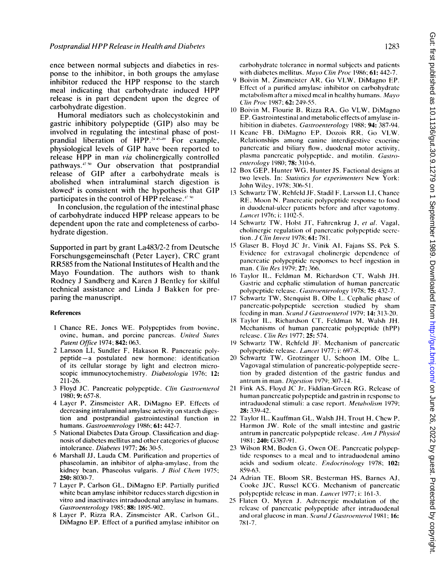ence between normal subjects and diabetics in response to the inhibitor, in both groups the amylase inhibitor reduced the HPP response to the starch meal indicating that carbohydrate induced HPP release is in part dependent upon the degree of carbohydrate digestion.

Humoral mediators such as cholecystokinin and gastric inhibitory polypeptide (GIP) also may be involved in regulating the intestinal phase of postprandial liberation of HPP. $24.45-49$  For example, physiological levels of GIP have been reported to release HPP in man via cholinergically controlled pathways.<sup>47 50</sup> Our observation that postprandial release of GIP after a carbohydrate meals is abolished when intraluminal starch digestion is slowed<sup>4</sup> is consistent with the hypothesis that GIP participates in the control of HPP release.<sup>4750</sup>

In conclusion, the regulation of the intestinal phase of carbohydrate induced HPP release appears to be dependent upon the rate and completeness of carbohydrate digestion.

Supported in part by grant La483/2-2 from Deutsche Forschungsgemeinschaft (Peter Layer), CRC grant RR585 from the National Institutes of Health and the Mayo Foundation. The authors wish to thank Rodney <sup>J</sup> Sandberg and Karen <sup>J</sup> Bentley for skilful technical assistance and Linda <sup>J</sup> Bakken for preparing the manuscript.

#### References

- <sup>1</sup> Chance RE, Jones WE. Polypeptides from bovine, ovine, human, and porcine pancreas. United States Patent Office 1974; 842: 063.
- 2 Larsson LI, Sundler F, Hakason R. Pancreatic polypeptide-a postulated new hormone: identification of its cellular storage by light and electron microscopic immunocytochemistry. Diabetologia 1976: 12: 211-26.
- 3 Floyd JC. Pancreatic polypeptide. Clin Gastroenterol 1980; 9: 657-8.
- 4 Layer P, Zinsmeister AR, DiMagno EP. Effects of decreasing intraluminal amylase activity on starch digestion and postprandial gastrointestinal function in humans. Gastroenterology 1986; 61: 442-7.
- 5 National Diabetes Data Group. Classification and diagnosis of diabetes mellitus and other categories of glucose intolerance. Diabetes 1977; 26: 30-5.
- 6 Marshall JJ, Lauda CM. Purification and properties of phaseolamin, an inhibitor of alpha-amylase, from the kidney bean, Phaseolus vulgaris. J Biol Chem 1975; 250: 8030-7.
- 7 Layer P, Carlson GL, DiMagno EP. Partially purified white bean amylase inhibitor reduces starch digestion in vitro and inactivates intraduodenal amylase in humans. Gastroenterology 1985; 88: 1895-902.
- 8 Layer P, Rizza RA, Zinsmeister AR, Carlson GL. DiMagno EP. Effect of <sup>a</sup> purified amylase inhibitor on

carbohydrate tolerance in normal subjects and patients with diabetes mellitus. Mayo Clin Proc 1986; 61: 442-7.

- <sup>9</sup> Boivin M, Zinsmeister AR, Go VLW, DiMagno EP. Effect of a purified amylase inhibitor on carbohydrate metabolism after <sup>a</sup> mixed meal in healthy humans. Mayo Clin Proc 1987; 62: 249-55.
- <sup>10</sup> Boivin M. Flourie B. Rizza RA, Go VLW, DiMagno EP. Gastrointestinal and metabolic effects of amylase inhibition in diabetes. Gastroenterology 1988; 94: 387-94.
- 11 Keane FB, DiMagno EP, Dozois RR, Go VLW. Relationships among canine interdigestive exocrine pancreatic and biliary flow, duodenal motor activity, plasma pancreatic polypeptide, and motilin. Gastroenterology 1980; **78:** 310-6.
- <sup>12</sup> Box GEP. Hunter WG, Hunter JS. Factional designs at two levels. In: Statistics for experimenters New York: John Wiley, 1978; 3(06-51.
- 13 Schwartz TW, Rehfeld JF, Stadil F, Larsson LI, Chance RE. Moon N. Pancreatic polypeptide response to food in duodenal-ulcer patients before and after vagotomy. Lancet 1976; i: 1102-5.
- <sup>14</sup> Schwartz Tw. Hoist JT, Fahrenkrug J. et al. Vagal, cholinergic regulation of pancreatic polypeptide secretion. J Clin Invest 1978; 61: 781.
- <sup>15</sup> Glaser B. Floyd JC Jr, Vinik Al, Fajans SS, Pek S. Evidence for extravagal cholinergic dependence of pancreatic polypeptide responses to beef ingestion in man. Clin Res 1979; 27: 366.
- 16 Taylor IL, Feldman M, Richardson CT, Walsh JH. Gastric and cephalic stimulation of human pancreatic polypeptide release. Gastroenterology 1978; 75: 432-7.
- <sup>17</sup> Schwartz TW, Stenquist B, Olbe L. Cephalic phase of pancreatic-polypeptide secretion studied by sham feeding in man. Scand J Gastroenterol 1979; 14: 313-20.
- <sup>18</sup> Taylor IL. Richardson CT, Feldman M, Walsh JH. Mechanisms of human pancreatic polypeptide (hPP) release. Clin Res 1977; 25: 574.
- <sup>19</sup> Schwartz TW, Rehfeld JF. Mechanism of pancreatic polypeptide release. Lancet 1977; i: 697-8.
- 20 Schwartz TW, Grotzinger U, Schoon IM. Olbe L. Vagovagal stimulation of pancreatic-polypeptide secretion by graded distention of the gastric fundus and antrum in man. Digestion 1979; 307-14.
- <sup>21</sup> Fink AS, Floyd JC Jr. Fiddian-Green RG. Release of human pancreatic polypeptide and gastrin in response to intraduodenal stimuli: a case report. Metabolism 1979; 28: 339-42.
- 22 Taylor IL, Kauffman GL, Walsh JH, Trout H, Chew P, Harmon JW. Role of the small intestine and gastric antrum in pancreatic polypeptide release. Am J Physiol 1981; 240: G387-91.
- 23 Wilson RM, Boden G, Owen OE. Pancrcatic polypeptide responses to a meal and to intraduodenal amino acids and sodium oleate. Endocrinology 1978; 102: 859-63.
- 24 Adrian TE, Bloom SR. Bcsterman HS, Barnes AJ, Cooke JJC, Russel KCG. Mechanism of pancreatic polypeptide release in man. Lancet 1977; i: 161-3.
- 25 Flaten 0, Myren J. Adrenergic modulation of the release of pancreatic polypeptide after intraduodenal and oral glucose in man. Scand J Gastroenterol 1981; 16: 781-7.